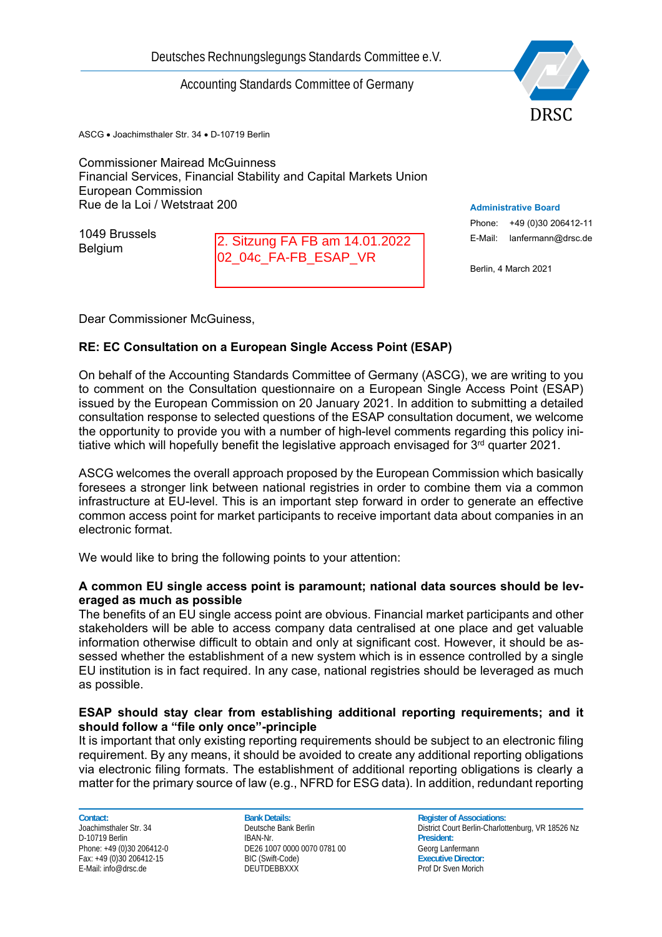# Accounting Standards Committee of Germany



ASCG • Joachimsthaler Str. 34 • D-10719 Berlin

Commissioner Mairead McGuinness Financial Services, Financial Stability and Capital Markets Union European Commission Rue de la Loi / Wetstraat 200

1049 Brussels Belgium

2. Sitzung FA FB am 14.01.2022 02\_04c\_FA-FB\_ESAP\_VR

**Administrative Board**

Phone: +49 (0)30 206412-11 E-Mail: lanfermann@drsc.de

Berlin, 4 March 2021

Dear Commissioner McGuiness,

# **RE: EC Consultation on a European Single Access Point (ESAP)**

On behalf of the Accounting Standards Committee of Germany (ASCG), we are writing to you to comment on the Consultation questionnaire on a European Single Access Point (ESAP) issued by the European Commission on 20 January 2021. In addition to submitting a detailed consultation response to selected questions of the ESAP consultation document, we welcome the opportunity to provide you with a number of high-level comments regarding this policy initiative which will hopefully benefit the legislative approach envisaged for  $3<sup>rd</sup>$  quarter 2021.

ASCG welcomes the overall approach proposed by the European Commission which basically foresees a stronger link between national registries in order to combine them via a common infrastructure at EU-level. This is an important step forward in order to generate an effective common access point for market participants to receive important data about companies in an electronic format.

We would like to bring the following points to your attention:

### **A common EU single access point is paramount; national data sources should be leveraged as much as possible**

The benefits of an EU single access point are obvious. Financial market participants and other stakeholders will be able to access company data centralised at one place and get valuable information otherwise difficult to obtain and only at significant cost. However, it should be assessed whether the establishment of a new system which is in essence controlled by a single EU institution is in fact required. In any case, national registries should be leveraged as much as possible.

### **ESAP should stay clear from establishing additional reporting requirements; and it should follow a "file only once"-principle**

It is important that only existing reporting requirements should be subject to an electronic filing requirement. By any means, it should be avoided to create any additional reporting obligations via electronic filing formats. The establishment of additional reporting obligations is clearly a matter for the primary source of law (e.g., NFRD for ESG data). In addition, redundant reporting

**Contact: Contact: Bank Details: Bank Details: Register of Associations:** D-10719 Berlin

Phone: +49 (0)30 206412-0<br>
Fax: +49 (0)30 206412-15 BIC (Swift-Code) BIC (Swift-Code) BIC (Swift-Code) Fax: +49 (0)30 206412-15 BIC (Swift-Code) **Executive Director:**

Joachimsthaler Str. 34 **Deutsche Bank Berlin** District Court Berlin-Charlottenburg, VR 18526 Nz<br>D-10719 Berlin District Court Berlin-Charlottenburg, VR 18526 Nz Prof Dr Sven Morich